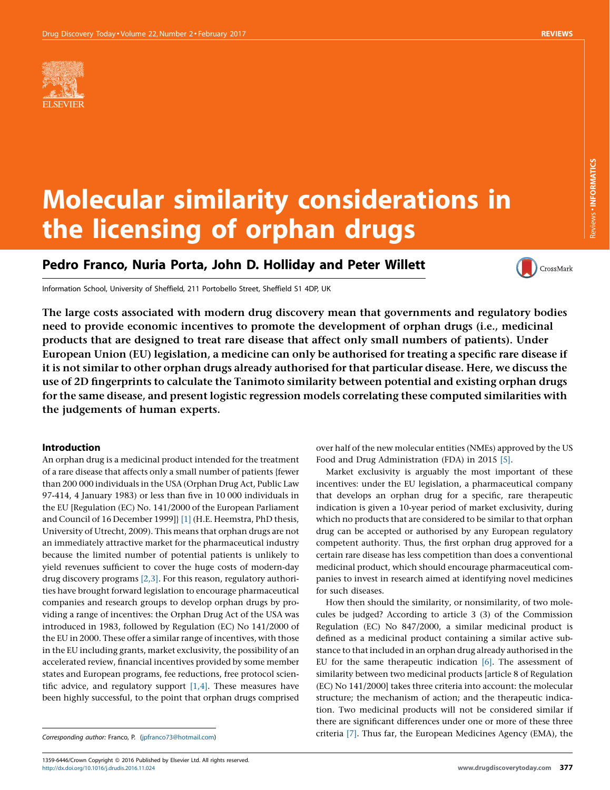

# Molecular similarity considerations in the licensing of orphan drugs

## Pedro Franco, Nuria Porta, John D. Holliday and Peter Willett

Information School, University of Sheffield, 211 Portobello Street, Sheffield S1 4DP, UK

The large costs associated with modern drug discovery mean that governments and regulatory bodies need to provide economic incentives to promote the development of orphan drugs (i.e., medicinal products that are designed to treat rare disease that affect only small numbers of patients). Under European Union (EU) legislation, a medicine can only be authorised for treating a specific rare disease if it is not similar to other orphan drugs already authorised for that particular disease. Here, we discuss the use of 2D fingerprints to calculate the Tanimoto similarity between potential and existing orphan drugs for the same disease, and present logistic regression models correlating these computed similarities with the judgements of human experts.

#### Introduction

An orphan drug is a medicinal product intended for the treatment of a rare disease that affects only a small number of patients {fewer than 200 000 individuals in the USA (Orphan Drug Act, Public Law 97-414, 4 January 1983) or less than five in 10 000 individuals in the EU [Regulation (EC) No. 141/2000 of the European Parliament and Council of 16 December 1999]} [\[1\]](#page-4-0) (H.E. Heemstra, PhD thesis, University of Utrecht, 2009). This means that orphan drugs are not an immediately attractive market for the pharmaceutical industry because the limited number of potential patients is unlikely to yield revenues sufficient to cover the huge costs of modern-day drug discovery programs [\[2,3\]](#page-4-0). For this reason, regulatory authorities have brought forward legislation to encourage pharmaceutical companies and research groups to develop orphan drugs by providing a range of incentives: the Orphan Drug Act of the USA was introduced in 1983, followed by Regulation (EC) No 141/2000 of the EU in 2000. These offer a similar range of incentives, with those in the EU including grants, market exclusivity, the possibility of an accelerated review, financial incentives provided by some member states and European programs, fee reductions, free protocol scientific advice, and regulatory support  $[1,4]$ . These measures have been highly successful, to the point that orphan drugs comprised

over half of the new molecular entities (NMEs) approved by the US Food and Drug Administration (FDA) in 2015 [\[5\].](#page-4-0)

Market exclusivity is arguably the most important of these incentives: under the EU legislation, a pharmaceutical company that develops an orphan drug for a specific, rare therapeutic indication is given a 10-year period of market exclusivity, during which no products that are considered to be similar to that orphan drug can be accepted or authorised by any European regulatory competent authority. Thus, the first orphan drug approved for a certain rare disease has less competition than does a conventional medicinal product, which should encourage pharmaceutical companies to invest in research aimed at identifying novel medicines for such diseases.

How then should the similarity, or nonsimilarity, of two molecules be judged? According to article 3 (3) of the Commission Regulation (EC) No 847/2000, a similar medicinal product is defined as a medicinal product containing a similar active substance to that included in an orphan drug already authorised in the EU for the same therapeutic indication [\[6\]](#page-4-0). The assessment of similarity between two medicinal products [article 8 of Regulation (EC) No 141/2000] takes three criteria into account: the molecular structure; the mechanism of action; and the therapeutic indication. Two medicinal products will not be considered similar if there are significant differences under one or more of these three criteria [\[7\]](#page-4-0). Thus far, the European Medicines Agency (EMA), the

 $\big)$  CrossMark

Corresponding author: Franco, P. ([jpfranco73@hotmail.com](mailto:jpfranco73@hotmail.com))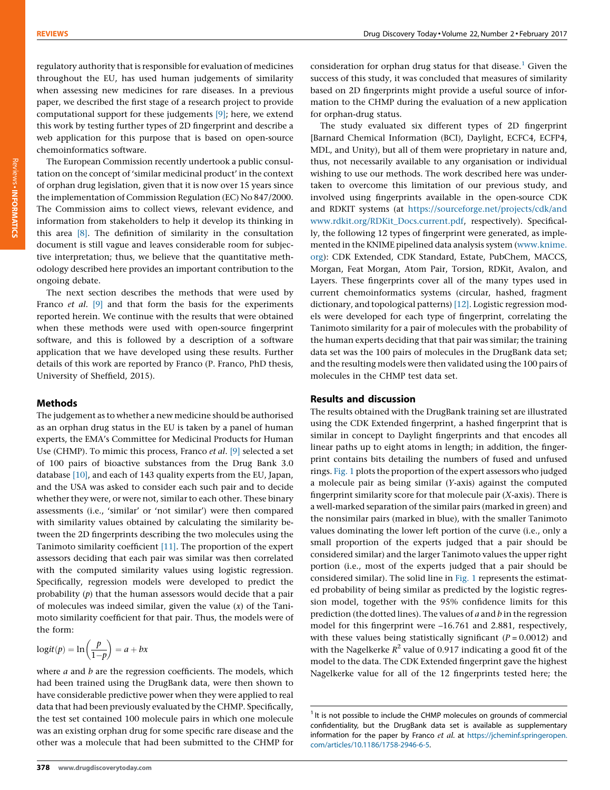regulatory authority that is responsible for evaluation of medicines throughout the EU, has used human judgements of similarity when assessing new medicines for rare diseases. In a previous paper, we described the first stage of a research project to provide computational support for these judgements [\[9\];](#page-4-0) here, we extend this work by testing further types of 2D fingerprint and describe a web application for this purpose that is based on open-source chemoinformatics software.

The European Commission recently undertook a public consultation on the concept of 'similar medicinal product' in the context of orphan drug legislation, given that it is now over 15 years since the implementation of Commission Regulation (EC) No 847/2000. The Commission aims to collect views, relevant evidence, and information from stakeholders to help it develop its thinking in this area [\[8\].](#page-4-0) The definition of similarity in the consultation document is still vague and leaves considerable room for subjective interpretation; thus, we believe that the quantitative methodology described here provides an important contribution to the ongoing debate.

The next section describes the methods that were used by Franco *et al.* [\[9\]](#page-4-0) and that form the basis for the experiments reported herein. We continue with the results that were obtained when these methods were used with open-source fingerprint software, and this is followed by a description of a software application that we have developed using these results. Further details of this work are reported by Franco (P. Franco, PhD thesis, University of Sheffield, 2015).

#### Methods

The judgement as to whether a new medicine should be authorised as an orphan drug status in the EU is taken by a panel of human experts, the EMA's Committee for Medicinal Products for Human Use (CHMP). To mimic this process, Franco et al. [\[9\]](#page-4-0) selected a set of 100 pairs of bioactive substances from the Drug Bank 3.0 database [\[10\]](#page-4-0), and each of 143 quality experts from the EU, Japan, and the USA was asked to consider each such pair and to decide whether they were, or were not, similar to each other. These binary assessments (i.e., 'similar' or 'not similar') were then compared with similarity values obtained by calculating the similarity between the 2D fingerprints describing the two molecules using the Tanimoto similarity coefficient [\[11\].](#page-4-0) The proportion of the expert assessors deciding that each pair was similar was then correlated with the computed similarity values using logistic regression. Specifically, regression models were developed to predict the probability  $(p)$  that the human assessors would decide that a pair of molecules was indeed similar, given the value  $(x)$  of the Tanimoto similarity coefficient for that pair. Thus, the models were of the form:

$$
logit(p) = \ln\left(\frac{p}{1-p}\right) = a + bx
$$

where  $a$  and  $b$  are the regression coefficients. The models, which had been trained using the DrugBank data, were then shown to have considerable predictive power when they were applied to real data that had been previously evaluated by the CHMP. Specifically, the test set contained 100 molecule pairs in which one molecule was an existing orphan drug for some specific rare disease and the other was a molecule that had been submitted to the CHMP for

consideration for orphan drug status for that disease.<sup>1</sup> Given the success of this study, it was concluded that measures of similarity based on 2D fingerprints might provide a useful source of information to the CHMP during the evaluation of a new application for orphan-drug status.

The study evaluated six different types of 2D fingerprint [Barnard Chemical Information (BCI), Daylight, ECFC4, ECFP4, MDL, and Unity), but all of them were proprietary in nature and, thus, not necessarily available to any organisation or individual wishing to use our methods. The work described here was undertaken to overcome this limitation of our previous study, and involved using fingerprints available in the open-source CDK and RDKIT systems (at <https://sourceforge.net/projects/cdk/and> [www.rdkit.org/RDKit\\_Docs.current.pdf,](http://www.rdkit.org/RDKit_Docs.current.pdf) respectively). Specifically, the following 12 types of fingerprint were generated, as implemented in the KNIME pipelined data analysis system ([www.knime.](http://www.knime.org/) [org\)](http://www.knime.org/): CDK Extended, CDK Standard, Estate, PubChem, MACCS, Morgan, Feat Morgan, Atom Pair, Torsion, RDKit, Avalon, and Layers. These fingerprints cover all of the many types used in current chemoinformatics systems (circular, hashed, fragment dictionary, and topological patterns) [\[12\]](#page-4-0). Logistic regression models were developed for each type of fingerprint, correlating the Tanimoto similarity for a pair of molecules with the probability of the human experts deciding that that pair was similar; the training data set was the 100 pairs of molecules in the DrugBank data set; and the resulting models were then validated using the 100 pairs of molecules in the CHMP test data set.

#### Results and discussion

The results obtained with the DrugBank training set are illustrated using the CDK Extended fingerprint, a hashed fingerprint that is similar in concept to Daylight fingerprints and that encodes all linear paths up to eight atoms in length; in addition, the fingerprint contains bits detailing the numbers of fused and unfused rings. [Fig.](#page-2-0) 1 plots the proportion of the expert assessors who judged a molecule pair as being similar (Y-axis) against the computed fingerprint similarity score for that molecule pair  $(X$ -axis). There is a well-marked separation of the similar pairs (marked in green) and the nonsimilar pairs (marked in blue), with the smaller Tanimoto values dominating the lower left portion of the curve (i.e., only a small proportion of the experts judged that a pair should be considered similar) and the larger Tanimoto values the upper right portion (i.e., most of the experts judged that a pair should be considered similar). The solid line in [Fig.](#page-2-0) 1 represents the estimated probability of being similar as predicted by the logistic regression model, together with the 95% confidence limits for this prediction (the dotted lines). The values of  $a$  and  $b$  in the regression model for this fingerprint were –16.761 and 2.881, respectively, with these values being statistically significant  $(P = 0.0012)$  and with the Nagelkerke  $R^2$  value of 0.917 indicating a good fit of the model to the data. The CDK Extended fingerprint gave the highest Nagelkerke value for all of the 12 fingerprints tested here; the

 $<sup>1</sup>$  It is not possible to include the CHMP molecules on grounds of commercial</sup> confidentiality, but the DrugBank data set is available as supplementary information for the paper by Franco et al. at [https://jcheminf.springeropen.](https://jcheminf.springeropen.com/articles/10.1186/1758-2946-6-5) [com/articles/10.1186/1758-2946-6-5](https://jcheminf.springeropen.com/articles/10.1186/1758-2946-6-5).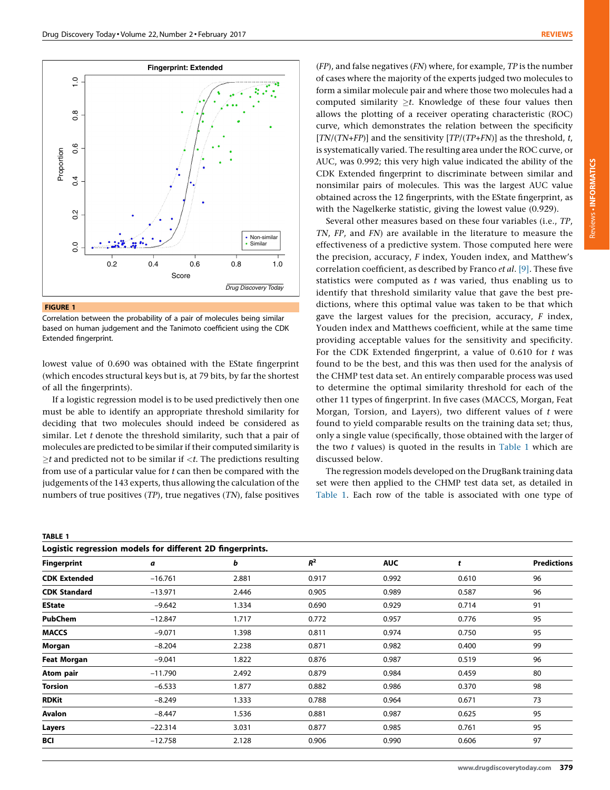<span id="page-2-0"></span>

#### FIGURE 1

Correlation between the probability of a pair of molecules being similar based on human judgement and the Tanimoto coefficient using the CDK Extended fingerprint.

lowest value of 0.690 was obtained with the EState fingerprint (which encodes structural keys but is, at 79 bits, by far the shortest of all the fingerprints).

If a logistic regression model is to be used predictively then one must be able to identify an appropriate threshold similarity for deciding that two molecules should indeed be considered as similar. Let  $t$  denote the threshold similarity, such that a pair of molecules are predicted to be similar if their computed similarity is  $\geq t$  and predicted not to be similar if  $. The predictions resulting$ from use of a particular value for  $t$  can then be compared with the judgements of the 143 experts, thus allowing the calculation of the numbers of true positives (TP), true negatives (TN), false positives

| TABLE 1<br>Logistic regression models for different 2D fingerprints. |           |       |       |       |       |    |
|----------------------------------------------------------------------|-----------|-------|-------|-------|-------|----|
|                                                                      |           |       |       |       |       |    |
| <b>CDK Extended</b>                                                  | $-16.761$ | 2.881 | 0.917 | 0.992 | 0.610 | 96 |
| <b>CDK Standard</b>                                                  | $-13.971$ | 2.446 | 0.905 | 0.989 | 0.587 | 96 |
| <b>EState</b>                                                        | $-9.642$  | 1.334 | 0.690 | 0.929 | 0.714 | 91 |
| PubChem                                                              | $-12.847$ | 1.717 | 0.772 | 0.957 | 0.776 | 95 |
| <b>MACCS</b>                                                         | $-9.071$  | 1.398 | 0.811 | 0.974 | 0.750 | 95 |
| Morgan                                                               | $-8.204$  | 2.238 | 0.871 | 0.982 | 0.400 | 99 |
| Feat Morgan                                                          | $-9.041$  | 1.822 | 0.876 | 0.987 | 0.519 | 96 |
| Atom pair                                                            | $-11.790$ | 2.492 | 0.879 | 0.984 | 0.459 | 80 |
| Torsion                                                              | $-6.533$  | 1.877 | 0.882 | 0.986 | 0.370 | 98 |
| <b>RDKit</b>                                                         | $-8.249$  | 1.333 | 0.788 | 0.964 | 0.671 | 73 |
| Avalon                                                               | $-8.447$  | 1.536 | 0.881 | 0.987 | 0.625 | 95 |
| Layers                                                               | $-22.314$ | 3.031 | 0.877 | 0.985 | 0.761 | 95 |

**BCI** –12.758 2.128 0.906 0.990 0.606 97

 $(FP)$ , and false negatives  $(FN)$  where, for example,  $TP$  is the number of cases where the majority of the experts judged two molecules to form a similar molecule pair and where those two molecules had a computed similarity  $>t$ . Knowledge of these four values then allows the plotting of a receiver operating characteristic (ROC) curve, which demonstrates the relation between the specificity  $[TN/(TN+FP)]$  and the sensitivity  $[TP/(TP+FN)]$  as the threshold, t, is systematically varied. The resulting area under the ROC curve, or AUC, was 0.992; this very high value indicated the ability of the CDK Extended fingerprint to discriminate between similar and nonsimilar pairs of molecules. This was the largest AUC value obtained across the 12 fingerprints, with the EState fingerprint, as with the Nagelkerke statistic, giving the lowest value (0.929).

Several other measures based on these four variables (i.e., TP, TN, FP, and FN) are available in the literature to measure the effectiveness of a predictive system. Those computed here were the precision, accuracy, F index, Youden index, and Matthew's correlation coefficient, as described by Franco et al. [\[9\].](#page-4-0) These five statistics were computed as  $t$  was varied, thus enabling us to identify that threshold similarity value that gave the best predictions, where this optimal value was taken to be that which gave the largest values for the precision, accuracy,  $F$  index, Youden index and Matthews coefficient, while at the same time providing acceptable values for the sensitivity and specificity. For the CDK Extended fingerprint, a value of  $0.610$  for  $t$  was found to be the best, and this was then used for the analysis of the CHMP test data set. An entirely comparable process was used to determine the optimal similarity threshold for each of the other 11 types of fingerprint. In five cases (MACCS, Morgan, Feat Morgan, Torsion, and Layers), two different values of  $t$  were found to yield comparable results on the training data set; thus, only a single value (specifically, those obtained with the larger of the two  $t$  values) is quoted in the results in Table 1 which are discussed below.

The regression models developed on the DrugBank training data set were then applied to the CHMP test data set, as detailed in Table 1. Each row of the table is associated with one type of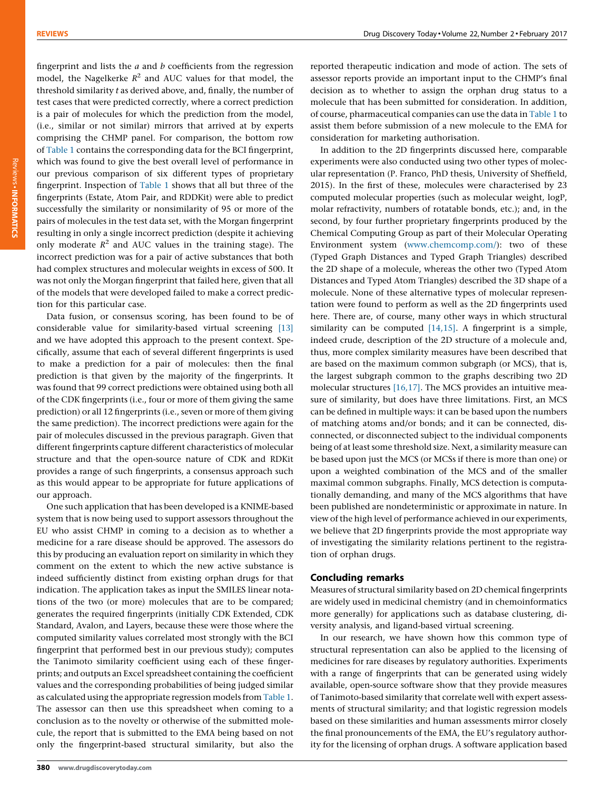fingerprint and lists the  $a$  and  $b$  coefficients from the regression model, the Nagelkerke  $R^2$  and AUC values for that model, the threshold similarity t as derived above, and, finally, the number of test cases that were predicted correctly, where a correct prediction is a pair of molecules for which the prediction from the model, (i.e., similar or not similar) mirrors that arrived at by experts comprising the CHMP panel. For comparison, the bottom row of [Table](#page-2-0) 1 contains the corresponding data for the BCI fingerprint, which was found to give the best overall level of performance in our previous comparison of six different types of proprietary fingerprint. Inspection of [Table](#page-2-0) 1 shows that all but three of the fingerprints (Estate, Atom Pair, and RDDKit) were able to predict successfully the similarity or nonsimilarity of 95 or more of the pairs of molecules in the test data set, with the Morgan fingerprint resulting in only a single incorrect prediction (despite it achieving only moderate  $R^2$  and AUC values in the training stage). The incorrect prediction was for a pair of active substances that both had complex structures and molecular weights in excess of 500. It was not only the Morgan fingerprint that failed here, given that all of the models that were developed failed to make a correct prediction for this particular case.

Data fusion, or consensus scoring, has been found to be of considerable value for similarity-based virtual screening [\[13\]](#page-4-0) and we have adopted this approach to the present context. Specifically, assume that each of several different fingerprints is used to make a prediction for a pair of molecules: then the final prediction is that given by the majority of the fingerprints. It was found that 99 correct predictions were obtained using both all of the CDK fingerprints (i.e., four or more of them giving the same prediction) or all 12 fingerprints (i.e., seven or more of them giving the same prediction). The incorrect predictions were again for the pair of molecules discussed in the previous paragraph. Given that different fingerprints capture different characteristics of molecular structure and that the open-source nature of CDK and RDKit provides a range of such fingerprints, a consensus approach such as this would appear to be appropriate for future applications of our approach.

One such application that has been developed is a KNIME-based system that is now being used to support assessors throughout the EU who assist CHMP in coming to a decision as to whether a medicine for a rare disease should be approved. The assessors do this by producing an evaluation report on similarity in which they comment on the extent to which the new active substance is indeed sufficiently distinct from existing orphan drugs for that indication. The application takes as input the SMILES linear notations of the two (or more) molecules that are to be compared; generates the required fingerprints (initially CDK Extended, CDK Standard, Avalon, and Layers, because these were those where the computed similarity values correlated most strongly with the BCI fingerprint that performed best in our previous study); computes the Tanimoto similarity coefficient using each of these fingerprints; and outputs an Excel spreadsheet containing the coefficient values and the corresponding probabilities of being judged similar as calculated using the appropriate regression models from [Table](#page-2-0) 1. The assessor can then use this spreadsheet when coming to a conclusion as to the novelty or otherwise of the submitted molecule, the report that is submitted to the EMA being based on not only the fingerprint-based structural similarity, but also the

reported therapeutic indication and mode of action. The sets of assessor reports provide an important input to the CHMP's final decision as to whether to assign the orphan drug status to a molecule that has been submitted for consideration. In addition, of course, pharmaceutical companies can use the data in [Table](#page-2-0) 1 to assist them before submission of a new molecule to the EMA for consideration for marketing authorisation.

In addition to the 2D fingerprints discussed here, comparable experiments were also conducted using two other types of molecular representation (P. Franco, PhD thesis, University of Sheffield, 2015). In the first of these, molecules were characterised by 23 computed molecular properties (such as molecular weight, logP, molar refractivity, numbers of rotatable bonds, etc.); and, in the second, by four further proprietary fingerprints produced by the Chemical Computing Group as part of their Molecular Operating Environment system [\(www.chemcomp.com/\)](http://www.chemcomp.com/): two of these (Typed Graph Distances and Typed Graph Triangles) described the 2D shape of a molecule, whereas the other two (Typed Atom Distances and Typed Atom Triangles) described the 3D shape of a molecule. None of these alternative types of molecular representation were found to perform as well as the 2D fingerprints used here. There are, of course, many other ways in which structural similarity can be computed  $[14,15]$ . A fingerprint is a simple, indeed crude, description of the 2D structure of a molecule and, thus, more complex similarity measures have been described that are based on the maximum common subgraph (or MCS), that is, the largest subgraph common to the graphs describing two 2D molecular structures [\[16,17\]](#page-4-0). The MCS provides an intuitive measure of similarity, but does have three limitations. First, an MCS can be defined in multiple ways: it can be based upon the numbers of matching atoms and/or bonds; and it can be connected, disconnected, or disconnected subject to the individual components being of at least some threshold size. Next, a similarity measure can be based upon just the MCS (or MCSs if there is more than one) or upon a weighted combination of the MCS and of the smaller maximal common subgraphs. Finally, MCS detection is computationally demanding, and many of the MCS algorithms that have been published are nondeterministic or approximate in nature. In view of the high level of performance achieved in our experiments, we believe that 2D fingerprints provide the most appropriate way of investigating the similarity relations pertinent to the registration of orphan drugs.

#### Concluding remarks

Measures of structural similarity based on 2D chemical fingerprints are widely used in medicinal chemistry (and in chemoinformatics more generally) for applications such as database clustering, diversity analysis, and ligand-based virtual screening.

In our research, we have shown how this common type of structural representation can also be applied to the licensing of medicines for rare diseases by regulatory authorities. Experiments with a range of fingerprints that can be generated using widely available, open-source software show that they provide measures of Tanimoto-based similarity that correlate well with expert assessments of structural similarity; and that logistic regression models based on these similarities and human assessments mirror closely the final pronouncements of the EMA, the EU's regulatory authority for the licensing of orphan drugs. A software application based